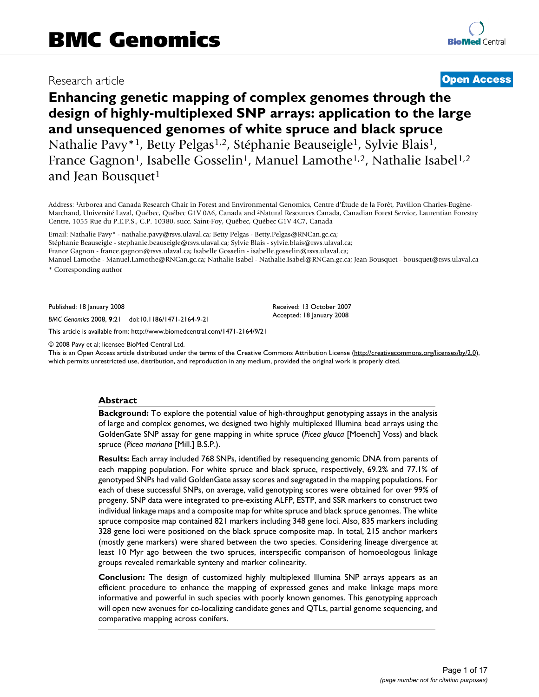# Research article **[Open Access](http://www.biomedcentral.com/info/about/charter/)**

# **Enhancing genetic mapping of complex genomes through the design of highly-multiplexed SNP arrays: application to the large and unsequenced genomes of white spruce and black spruce** Nathalie Pavy<sup>\*1</sup>, Betty Pelgas<sup>1,2</sup>, Stéphanie Beauseigle<sup>1</sup>, Sylvie Blais<sup>1</sup>, France Gagnon<sup>1</sup>, Isabelle Gosselin<sup>1</sup>, Manuel Lamothe<sup>1,2</sup>, Nathalie Isabel<sup>1,2</sup> and Jean Bousquet<sup>1</sup>

Address: 1Arborea and Canada Research Chair in Forest and Environmental Genomics, Centre d'Étude de la Forêt, Pavillon Charles-Eugène-Marchand, Université Laval, Québec, Québec G1V 0A6, Canada and 2Natural Resources Canada, Canadian Forest Service, Laurentian Forestry Centre, 1055 Rue du P.E.P.S., C.P. 10380, succ. Saint-Foy, Québec, Québec G1V 4C7, Canada

Email: Nathalie Pavy\* - nathalie.pavy@rsvs.ulaval.ca; Betty Pelgas - Betty.Pelgas@RNCan.gc.ca; Stéphanie Beauseigle - stephanie.beauseigle@rsvs.ulaval.ca; Sylvie Blais - sylvie.blais@rsvs.ulaval.ca; France Gagnon - france.gagnon@rsvs.ulaval.ca; Isabelle Gosselin - isabelle.gosselin@rsvs.ulaval.ca; Manuel Lamothe - Manuel.Lamothe@RNCan.gc.ca; Nathalie Isabel - Nathalie.Isabel@RNCan.gc.ca; Jean Bousquet - bousquet@rsvs.ulaval.ca

\* Corresponding author

Published: 18 January 2008

*BMC Genomics* 2008, **9**:21 doi:10.1186/1471-2164-9-21

[This article is available from: http://www.biomedcentral.com/1471-2164/9/21](http://www.biomedcentral.com/1471-2164/9/21)

© 2008 Pavy et al; licensee BioMed Central Ltd.

This is an Open Access article distributed under the terms of the Creative Commons Attribution License [\(http://creativecommons.org/licenses/by/2.0\)](http://creativecommons.org/licenses/by/2.0), which permits unrestricted use, distribution, and reproduction in any medium, provided the original work is properly cited.

Received: 13 October 2007 Accepted: 18 January 2008

#### **Abstract**

**Background:** To explore the potential value of high-throughput genotyping assays in the analysis of large and complex genomes, we designed two highly multiplexed Illumina bead arrays using the GoldenGate SNP assay for gene mapping in white spruce (*Picea glauca* [Moench] Voss) and black spruce (*Picea mariana* [Mill.] B.S.P.).

**Results:** Each array included 768 SNPs, identified by resequencing genomic DNA from parents of each mapping population. For white spruce and black spruce, respectively, 69.2% and 77.1% of genotyped SNPs had valid GoldenGate assay scores and segregated in the mapping populations. For each of these successful SNPs, on average, valid genotyping scores were obtained for over 99% of progeny. SNP data were integrated to pre-existing ALFP, ESTP, and SSR markers to construct two individual linkage maps and a composite map for white spruce and black spruce genomes. The white spruce composite map contained 821 markers including 348 gene loci. Also, 835 markers including 328 gene loci were positioned on the black spruce composite map. In total, 215 anchor markers (mostly gene markers) were shared between the two species. Considering lineage divergence at least 10 Myr ago between the two spruces, interspecific comparison of homoeologous linkage groups revealed remarkable synteny and marker colinearity.

**Conclusion:** The design of customized highly multiplexed Illumina SNP arrays appears as an efficient procedure to enhance the mapping of expressed genes and make linkage maps more informative and powerful in such species with poorly known genomes. This genotyping approach will open new avenues for co-localizing candidate genes and QTLs, partial genome sequencing, and comparative mapping across conifers.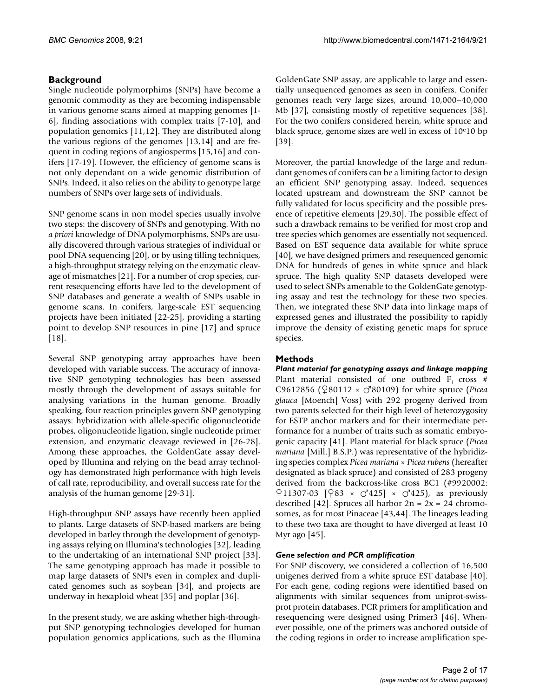# **Background**

Single nucleotide polymorphims (SNPs) have become a genomic commodity as they are becoming indispensable in various genome scans aimed at mapping genomes [1- 6], finding associations with complex traits [7-10], and population genomics [11,12]. They are distributed along the various regions of the genomes [13,14] and are frequent in coding regions of angiosperms [15,16] and conifers [17-19]. However, the efficiency of genome scans is not only dependant on a wide genomic distribution of SNPs. Indeed, it also relies on the ability to genotype large numbers of SNPs over large sets of individuals.

SNP genome scans in non model species usually involve two steps: the discovery of SNPs and genotyping. With no *a priori* knowledge of DNA polymorphisms, SNPs are usually discovered through various strategies of individual or pool DNA sequencing [20], or by using tilling techniques, a high-throughput strategy relying on the enzymatic cleavage of mismatches [21]. For a number of crop species, current resequencing efforts have led to the development of SNP databases and generate a wealth of SNPs usable in genome scans. In conifers, large-scale EST sequencing projects have been initiated [22-25], providing a starting point to develop SNP resources in pine [17] and spruce [18].

Several SNP genotyping array approaches have been developed with variable success. The accuracy of innovative SNP genotyping technologies has been assessed mostly through the development of assays suitable for analysing variations in the human genome. Broadly speaking, four reaction principles govern SNP genotyping assays: hybridization with allele-specific oligonucleotide probes, oligonucleotide ligation, single nucleotide primer extension, and enzymatic cleavage reviewed in [26-28]. Among these approaches, the GoldenGate assay developed by Illumina and relying on the bead array technology has demonstrated high performance with high levels of call rate, reproducibility, and overall success rate for the analysis of the human genome [29-31].

High-throughput SNP assays have recently been applied to plants. Large datasets of SNP-based markers are being developed in barley through the development of genotyping assays relying on Illumina's technologies [32], leading to the undertaking of an international SNP project [33]. The same genotyping approach has made it possible to map large datasets of SNPs even in complex and duplicated genomes such as soybean [34], and projects are underway in hexaploid wheat [35] and poplar [36].

In the present study, we are asking whether high-throughput SNP genotyping technologies developed for human population genomics applications, such as the Illumina

GoldenGate SNP assay, are applicable to large and essentially unsequenced genomes as seen in conifers. Conifer genomes reach very large sizes, around 10,000–40,000 Mb [37], consisting mostly of repetitive sequences [38]. For the two conifers considered herein, white spruce and black spruce, genome sizes are well in excess of  $10e10$  bp [39].

Moreover, the partial knowledge of the large and redundant genomes of conifers can be a limiting factor to design an efficient SNP genotyping assay. Indeed, sequences located upstream and downstream the SNP cannot be fully validated for locus specificity and the possible presence of repetitive elements [29,30]. The possible effect of such a drawback remains to be verified for most crop and tree species which genomes are essentially not sequenced. Based on EST sequence data available for white spruce [40], we have designed primers and resequenced genomic DNA for hundreds of genes in white spruce and black spruce. The high quality SNP datasets developed were used to select SNPs amenable to the GoldenGate genotyping assay and test the technology for these two species. Then, we integrated these SNP data into linkage maps of expressed genes and illustrated the possibility to rapidly improve the density of existing genetic maps for spruce species.

# **Methods**

*Plant material for genotyping assays and linkage mapping* Plant material consisted of one outbred  $F_1$  cross # C9612856 ( $\sqrt{280112} \times \sqrt{380109}$ ) for white spruce (*Picea glauca* [Moench] Voss) with 292 progeny derived from two parents selected for their high level of heterozygosity for ESTP anchor markers and for their intermediate performance for a number of traits such as somatic embryogenic capacity [41]. Plant material for black spruce (*Picea mariana* [Mill.] B.S.P.) was representative of the hybridizing species complex *Picea mariana × Picea rubens* (hereafter designated as black spruce) and consisted of 283 progeny derived from the backcross-like cross BC1 (#9920002:  $\lceil 211307-03 \rceil$   $\lceil 283 \times 10^{2425} \rceil \times 10^{2425}$ , as previously described [42]. Spruces all harbor  $2n = 2x = 24$  chromosomes, as for most Pinaceae [43,44]. The lineages leading to these two taxa are thought to have diverged at least 10 Myr ago [45].

### *Gene selection and PCR amplification*

For SNP discovery, we considered a collection of 16,500 unigenes derived from a white spruce EST database [40]. For each gene, coding regions were identified based on alignments with similar sequences from uniprot-swissprot protein databases. PCR primers for amplification and resequencing were designed using Primer3 [46]. Whenever possible, one of the primers was anchored outside of the coding regions in order to increase amplification spe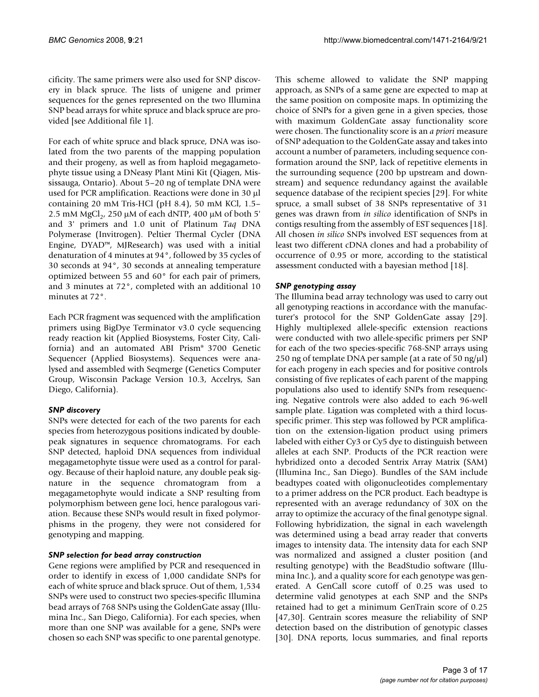cificity. The same primers were also used for SNP discovery in black spruce. The lists of unigene and primer sequences for the genes represented on the two Illumina SNP bead arrays for white spruce and black spruce are provided [see Additional file 1].

For each of white spruce and black spruce, DNA was isolated from the two parents of the mapping population and their progeny, as well as from haploid megagametophyte tissue using a DNeasy Plant Mini Kit (Qiagen, Mississauga, Ontario). About 5–20 ng of template DNA were used for PCR amplification. Reactions were done in 30 µl containing 20 mM Tris-HCl (pH 8.4), 50 mM KCl, 1.5– 2.5 mM  $MgCl<sub>2</sub>$ , 250 µM of each dNTP, 400 µM of both 5' and 3' primers and 1.0 unit of Platinum *Taq* DNA Polymerase (Invitrogen). Peltier Thermal Cycler (DNA Engine, DYAD™, MJResearch) was used with a initial denaturation of 4 minutes at 94°, followed by 35 cycles of 30 seconds at 94°, 30 seconds at annealing temperature optimized between 55 and 60° for each pair of primers, and 3 minutes at 72°, completed with an additional 10 minutes at 72°.

Each PCR fragment was sequenced with the amplification primers using BigDye Terminator v3.0 cycle sequencing ready reaction kit (Applied Biosystems, Foster City, California) and an automated ABI Prism® 3700 Genetic Sequencer (Applied Biosystems). Sequences were analysed and assembled with Seqmerge (Genetics Computer Group, Wisconsin Package Version 10.3, Accelrys, San Diego, California).

### *SNP discovery*

SNPs were detected for each of the two parents for each species from heterozygous positions indicated by doublepeak signatures in sequence chromatograms. For each SNP detected, haploid DNA sequences from individual megagametophyte tissue were used as a control for paralogy. Because of their haploid nature, any double peak signature in the sequence chromatogram from a megagametophyte would indicate a SNP resulting from polymorphism between gene loci, hence paralogous variation. Because these SNPs would result in fixed polymorphisms in the progeny, they were not considered for genotyping and mapping.

#### *SNP selection for bead array construction*

Gene regions were amplified by PCR and resequenced in order to identify in excess of 1,000 candidate SNPs for each of white spruce and black spruce. Out of them, 1,534 SNPs were used to construct two species-specific Illumina bead arrays of 768 SNPs using the GoldenGate assay (Illumina Inc., San Diego, California). For each species, when more than one SNP was available for a gene, SNPs were chosen so each SNP was specific to one parental genotype.

This scheme allowed to validate the SNP mapping approach, as SNPs of a same gene are expected to map at the same position on composite maps. In optimizing the choice of SNPs for a given gene in a given species, those with maximum GoldenGate assay functionality score were chosen. The functionality score is an *a priori* measure of SNP adequation to the GoldenGate assay and takes into account a number of parameters, including sequence conformation around the SNP, lack of repetitive elements in the surrounding sequence (200 bp upstream and downstream) and sequence redundancy against the available sequence database of the recipient species [29]. For white spruce, a small subset of 38 SNPs representative of 31 genes was drawn from *in silico* identification of SNPs in contigs resulting from the assembly of EST sequences [18]. All chosen *in silico* SNPs involved EST sequences from at least two different cDNA clones and had a probability of occurrence of 0.95 or more, according to the statistical assessment conducted with a bayesian method [18].

#### *SNP genotyping assay*

The Illumina bead array technology was used to carry out all genotyping reactions in accordance with the manufacturer's protocol for the SNP GoldenGate assay [29]. Highly multiplexed allele-specific extension reactions were conducted with two allele-specific primers per SNP for each of the two species-specific 768-SNP arrays using 250 ng of template DNA per sample (at a rate of 50 ng/ $\mu$ l) for each progeny in each species and for positive controls consisting of five replicates of each parent of the mapping populations also used to identify SNPs from resequencing. Negative controls were also added to each 96-well sample plate. Ligation was completed with a third locusspecific primer. This step was followed by PCR amplification on the extension-ligation product using primers labeled with either Cy3 or Cy5 dye to distinguish between alleles at each SNP. Products of the PCR reaction were hybridized onto a decoded Sentrix Array Matrix (SAM) (Illumina Inc., San Diego). Bundles of the SAM include beadtypes coated with oligonucleotides complementary to a primer address on the PCR product. Each beadtype is represented with an average redundancy of 30X on the array to optimize the accuracy of the final genotype signal. Following hybridization, the signal in each wavelength was determined using a bead array reader that converts images to intensity data. The intensity data for each SNP was normalized and assigned a cluster position (and resulting genotype) with the BeadStudio software (Illumina Inc.), and a quality score for each genotype was generated. A GenCall score cutoff of 0.25 was used to determine valid genotypes at each SNP and the SNPs retained had to get a minimum GenTrain score of 0.25 [47,30]. Gentrain scores measure the reliability of SNP detection based on the distribution of genotypic classes [30]. DNA reports, locus summaries, and final reports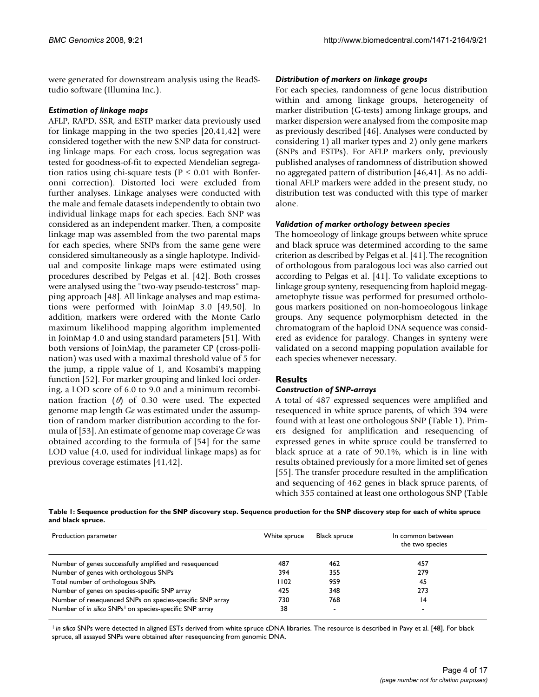were generated for downstream analysis using the BeadStudio software (Illumina Inc.).

#### *Estimation of linkage maps*

AFLP, RAPD, SSR, and ESTP marker data previously used for linkage mapping in the two species [20,41,42] were considered together with the new SNP data for constructing linkage maps. For each cross, locus segregation was tested for goodness-of-fit to expected Mendelian segregation ratios using chi-square tests ( $P \le 0.01$  with Bonferonni correction). Distorted loci were excluded from further analyses. Linkage analyses were conducted with the male and female datasets independently to obtain two individual linkage maps for each species. Each SNP was considered as an independent marker. Then, a composite linkage map was assembled from the two parental maps for each species, where SNPs from the same gene were considered simultaneously as a single haplotype. Individual and composite linkage maps were estimated using procedures described by Pelgas et al. [42]. Both crosses were analysed using the "two-way pseudo-testcross" mapping approach [48]. All linkage analyses and map estimations were performed with JoinMap 3.0 [49,50]. In addition, markers were ordered with the Monte Carlo maximum likelihood mapping algorithm implemented in JoinMap 4.0 and using standard parameters [51]. With both versions of JoinMap, the parameter CP (cross-pollination) was used with a maximal threshold value of 5 for the jump, a ripple value of 1, and Kosambi's mapping function [52]. For marker grouping and linked loci ordering, a LOD score of 6.0 to 9.0 and a minimum recombination fraction ( $\theta$ ) of 0.30 were used. The expected genome map length *Ge* was estimated under the assumption of random marker distribution according to the formula of [53]. An estimate of genome map coverage *Ce* was obtained according to the formula of [54] for the same LOD value (4.0, used for individual linkage maps) as for previous coverage estimates [41,42].

### *Distribution of markers on linkage groups*

For each species, randomness of gene locus distribution within and among linkage groups, heterogeneity of marker distribution (G-tests) among linkage groups, and marker dispersion were analysed from the composite map as previously described [46]. Analyses were conducted by considering 1) all marker types and 2) only gene markers (SNPs and ESTPs). For AFLP markers only, previously published analyses of randomness of distribution showed no aggregated pattern of distribution [46,41]. As no additional AFLP markers were added in the present study, no distribution test was conducted with this type of marker alone.

#### *Validation of marker orthology between species*

The homoeology of linkage groups between white spruce and black spruce was determined according to the same criterion as described by Pelgas et al. [41]. The recognition of orthologous from paralogous loci was also carried out according to Pelgas et al. [41]. To validate exceptions to linkage group synteny, resequencing from haploid megagametophyte tissue was performed for presumed orthologous markers positioned on non-homoeologous linkage groups. Any sequence polymorphism detected in the chromatogram of the haploid DNA sequence was considered as evidence for paralogy. Changes in synteny were validated on a second mapping population available for each species whenever necessary.

### **Results**

### *Construction of SNP-arrays*

A total of 487 expressed sequences were amplified and resequenced in white spruce parents, of which 394 were found with at least one orthologous SNP (Table 1). Primers designed for amplification and resequencing of expressed genes in white spruce could be transferred to black spruce at a rate of 90.1%, which is in line with results obtained previously for a more limited set of genes [55]. The transfer procedure resulted in the amplification and sequencing of 462 genes in black spruce parents, of which 355 contained at least one orthologous SNP (Table

**Table 1: Sequence production for the SNP discovery step. Sequence production for the SNP discovery step for each of white spruce and black spruce.**

| Production parameter                                                | White spruce | <b>Black spruce</b> | In common between<br>the two species |
|---------------------------------------------------------------------|--------------|---------------------|--------------------------------------|
| Number of genes successfully amplified and resequenced              | 487          | 462                 | 457                                  |
| Number of genes with orthologous SNPs                               | 394          | 355                 | 279                                  |
| Total number of orthologous SNPs                                    | 1102         | 959                 | 45                                   |
| Number of genes on species-specific SNP array                       | 425          | 348                 | 273                                  |
| Number of resequenced SNPs on species-specific SNP array            | 730          | 768                 | 14                                   |
| Number of in silico SNPs <sup>1</sup> on species-specific SNP array | 38           | $\blacksquare$      |                                      |

<sup>1</sup> in silico SNPs were detected in aligned ESTs derived from white spruce cDNA libraries. The resource is described in Pavy et al. [48]. For black spruce, all assayed SNPs were obtained after resequencing from genomic DNA.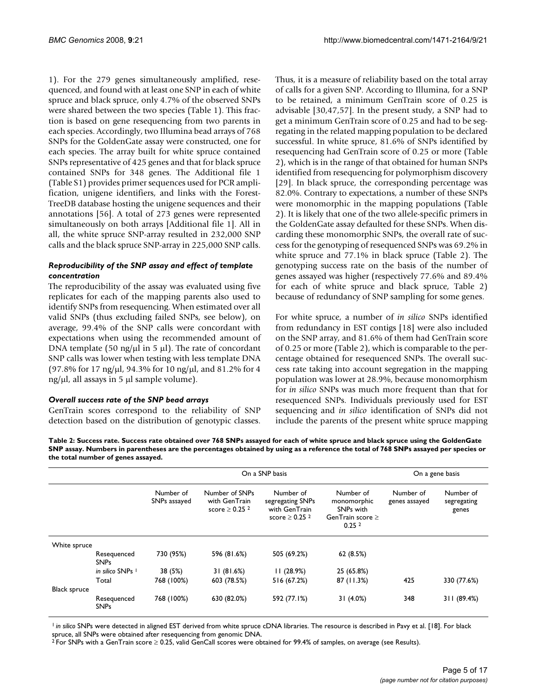1). For the 279 genes simultaneously amplified, resequenced, and found with at least one SNP in each of white spruce and black spruce, only 4.7% of the observed SNPs were shared between the two species (Table 1). This fraction is based on gene resequencing from two parents in each species. Accordingly, two Illumina bead arrays of 768 SNPs for the GoldenGate assay were constructed, one for each species. The array built for white spruce contained SNPs representative of 425 genes and that for black spruce contained SNPs for 348 genes. The Additional file 1 (Table S1) provides primer sequences used for PCR amplification, unigene identifiers, and links with the Forest-TreeDB database hosting the unigene sequences and their annotations [56]. A total of 273 genes were represented simultaneously on both arrays [Additional file 1]. All in all, the white spruce SNP-array resulted in 232,000 SNP calls and the black spruce SNP-array in 225,000 SNP calls.

#### *Reproducibility of the SNP assay and effect of template concentration*

The reproducibility of the assay was evaluated using five replicates for each of the mapping parents also used to identify SNPs from resequencing. When estimated over all valid SNPs (thus excluding failed SNPs, see below), on average, 99.4% of the SNP calls were concordant with expectations when using the recommended amount of DNA template (50 ng/ $\mu$ l in 5  $\mu$ l). The rate of concordant SNP calls was lower when testing with less template DNA (97.8% for 17 ng/ $\mu$ l, 94.3% for 10 ng/ $\mu$ l, and 81.2% for 4 ng/ $\mu$ l, all assays in 5  $\mu$ l sample volume).

#### *Overall success rate of the SNP bead arrays*

GenTrain scores correspond to the reliability of SNP detection based on the distribution of genotypic classes.

Thus, it is a measure of reliability based on the total array of calls for a given SNP. According to Illumina, for a SNP to be retained, a minimum GenTrain score of 0.25 is advisable [30,47,57]. In the present study, a SNP had to get a minimum GenTrain score of 0.25 and had to be segregating in the related mapping population to be declared successful. In white spruce, 81.6% of SNPs identified by resequencing had GenTrain score of 0.25 or more (Table 2), which is in the range of that obtained for human SNPs identified from resequencing for polymorphism discovery [29]. In black spruce, the corresponding percentage was 82.0%. Contrary to expectations, a number of these SNPs were monomorphic in the mapping populations (Table 2). It is likely that one of the two allele-specific primers in the GoldenGate assay defaulted for these SNPs. When discarding these monomorphic SNPs, the overall rate of success for the genotyping of resequenced SNPs was 69.2% in white spruce and 77.1% in black spruce (Table 2). The genotyping success rate on the basis of the number of genes assayed was higher (respectively 77.6% and 89.4% for each of white spruce and black spruce, Table 2) because of redundancy of SNP sampling for some genes.

For white spruce, a number of *in silico* SNPs identified from redundancy in EST contigs [18] were also included on the SNP array, and 81.6% of them had GenTrain score of 0.25 or more (Table 2), which is comparable to the percentage obtained for resequenced SNPs. The overall success rate taking into account segregation in the mapping population was lower at 28.9%, because monomorphism for *in silico* SNPs was much more frequent than that for resequenced SNPs. Individuals previously used for EST sequencing and *in silico* identification of SNPs did not include the parents of the present white spruce mapping

**Table 2: Success rate. Success rate obtained over 768 SNPs assayed for each of white spruce and black spruce using the GoldenGate SNP assay. Numbers in parentheses are the percentages obtained by using as a reference the total of 768 SNPs assayed per species or the total number of genes assayed.**

|                     |                             |            | On a SNP basis                                                                                                                                        | On a gene basis |                                                                                                 |                            |                                   |
|---------------------|-----------------------------|------------|-------------------------------------------------------------------------------------------------------------------------------------------------------|-----------------|-------------------------------------------------------------------------------------------------|----------------------------|-----------------------------------|
|                     | Number of<br>SNPs assayed   |            | Number of SNPs<br>Number of<br>with GenTrain<br>segregating SNPs<br>score $\geq$ 0.25 <sup>2</sup><br>with GenTrain<br>score $\geq$ 0.25 <sup>2</sup> |                 | Number of<br>monomorphic<br>SNP <sub>s</sub> with<br>GenTrain score $\geq$<br>0.25 <sup>2</sup> | Number of<br>genes assayed | Number of<br>segregating<br>genes |
| White spruce        |                             |            |                                                                                                                                                       |                 |                                                                                                 |                            |                                   |
|                     | Resequenced<br><b>SNPs</b>  | 730 (95%)  | 596 (81.6%)                                                                                                                                           | 505 (69.2%)     | 62 (8.5%)                                                                                       |                            |                                   |
|                     | in silico SNPs <sup>1</sup> | 38 (5%)    | 31(81.6%)                                                                                                                                             | 11(28.9%)       | 25 (65.8%)                                                                                      |                            |                                   |
|                     | Total                       | 768 (100%) | 603 (78.5%)                                                                                                                                           | 516 (67.2%)     | 87 (11.3%)                                                                                      | 425                        | 330 (77.6%)                       |
| <b>Black spruce</b> |                             |            |                                                                                                                                                       |                 |                                                                                                 |                            |                                   |
|                     | Resequenced<br><b>SNPs</b>  | 768 (100%) | 630 (82.0%)                                                                                                                                           | 592 (77.1%)     | 31 (4.0%)                                                                                       | 348                        | 311 (89.4%)                       |

<sup>1</sup> in silico SNPs were detected in aligned EST derived from white spruce cDNA libraries. The resource is described in Pavy et al. [18]. For black spruce, all SNPs were obtained after resequencing from genomic DNA.

2 For SNPs with a GenTrain score ≥ 0.25, valid GenCall scores were obtained for 99.4% of samples, on average (see Results).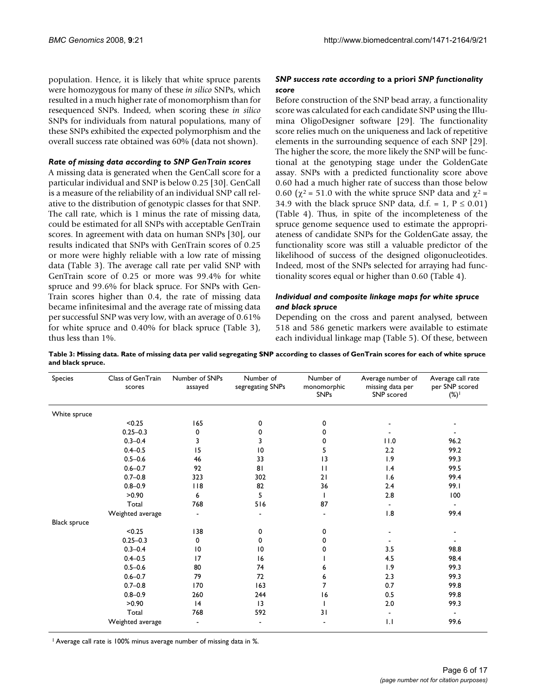population. Hence, it is likely that white spruce parents were homozygous for many of these *in silico* SNPs, which resulted in a much higher rate of monomorphism than for resequenced SNPs. Indeed, when scoring these *in silico* SNPs for individuals from natural populations, many of these SNPs exhibited the expected polymorphism and the overall success rate obtained was 60% (data not shown).

#### *Rate of missing data according to SNP GenTrain scores*

A missing data is generated when the GenCall score for a particular individual and SNP is below 0.25 [30]. GenCall is a measure of the reliability of an individual SNP call relative to the distribution of genotypic classes for that SNP. The call rate, which is 1 minus the rate of missing data, could be estimated for all SNPs with acceptable GenTrain scores. In agreement with data on human SNPs [30], our results indicated that SNPs with GenTrain scores of 0.25 or more were highly reliable with a low rate of missing data (Table 3). The average call rate per valid SNP with GenTrain score of 0.25 or more was 99.4% for white spruce and 99.6% for black spruce. For SNPs with Gen-Train scores higher than 0.4, the rate of missing data became infinitesimal and the average rate of missing data per successful SNP was very low, with an average of 0.61% for white spruce and 0.40% for black spruce (Table 3), thus less than 1%.

# *SNP success rate according to* **a priori** *SNP functionality score*

Before construction of the SNP bead array, a functionality score was calculated for each candidate SNP using the Illumina OligoDesigner software [29]. The functionality score relies much on the uniqueness and lack of repetitive elements in the surrounding sequence of each SNP [29]. The higher the score, the more likely the SNP will be functional at the genotyping stage under the GoldenGate assay. SNPs with a predicted functionality score above 0.60 had a much higher rate of success than those below 0.60 ( $\chi^2$  = 51.0 with the white spruce SNP data and  $\chi^2$  = 34.9 with the black spruce SNP data, d.f. = 1,  $P \le 0.01$ ) (Table 4). Thus, in spite of the incompleteness of the spruce genome sequence used to estimate the appropriateness of candidate SNPs for the GoldenGate assay, the functionality score was still a valuable predictor of the likelihood of success of the designed oligonucleotides. Indeed, most of the SNPs selected for arraying had functionality scores equal or higher than 0.60 (Table 4).

# *Individual and composite linkage maps for white spruce and black spruce*

Depending on the cross and parent analysed, between 518 and 586 genetic markers were available to estimate each individual linkage map (Table 5). Of these, between

| Species             | Class of GenTrain<br>scores | Number of SNPs<br>assayed | Number of<br>segregating SNPs | Number of<br>monomorphic<br><b>SNPs</b> | Average number of<br>missing data per<br>SNP scored | Average call rate<br>per SNP scored<br>$(\%)$ |
|---------------------|-----------------------------|---------------------------|-------------------------------|-----------------------------------------|-----------------------------------------------------|-----------------------------------------------|
| White spruce        |                             |                           |                               |                                         |                                                     |                                               |
|                     | < 0.25                      | 165                       | 0                             | 0                                       |                                                     |                                               |
|                     | $0.25 - 0.3$                | 0                         | 0                             | 0                                       |                                                     |                                               |
|                     | $0.3 - 0.4$                 | 3                         | 3                             | 0                                       | 11.0                                                | 96.2                                          |
|                     | $0.4 - 0.5$                 | 15                        | 10                            | 5                                       | 2.2                                                 | 99.2                                          |
|                     | $0.5 - 0.6$                 | 46                        | 33                            | 3                                       | 1.9                                                 | 99.3                                          |
|                     | $0.6 - 0.7$                 | 92                        | 81                            | $\mathbf{H}$                            | 1.4                                                 | 99.5                                          |
|                     | $0.7 - 0.8$                 | 323                       | 302                           | 21                                      | 1.6                                                 | 99.4                                          |
|                     | $0.8 - 0.9$                 | 118                       | 82                            | 36                                      | 2.4                                                 | 99.I                                          |
|                     | >0.90                       | 6                         | 5                             |                                         | 2.8                                                 | 100                                           |
|                     | Total                       | 768                       | 516                           | 87                                      | $\blacksquare$                                      | $\blacksquare$                                |
|                     | Weighted average            |                           |                               |                                         | 1.8                                                 | 99.4                                          |
| <b>Black spruce</b> |                             |                           |                               |                                         |                                                     |                                               |
|                     | < 0.25                      | 138                       | 0                             | 0                                       |                                                     |                                               |
|                     | $0.25 - 0.3$                | $\mathbf 0$               | 0                             | 0                                       |                                                     |                                               |
|                     | $0.3 - 0.4$                 | $\overline{10}$           | 10                            | 0                                       | 3.5                                                 | 98.8                                          |
|                     | $0.4 - 0.5$                 | 17                        | 16                            |                                         | 4.5                                                 | 98.4                                          |
|                     | $0.5 - 0.6$                 | 80                        | 74                            | 6                                       | 1.9                                                 | 99.3                                          |
|                     | $0.6 - 0.7$                 | 79                        | 72                            | 6                                       | 2.3                                                 | 99.3                                          |
|                     | $0.7 - 0.8$                 | 170                       | 163                           | 7                                       | 0.7                                                 | 99.8                                          |
|                     | $0.8 - 0.9$                 | 260                       | 244                           | 16                                      | 0.5                                                 | 99.8                                          |
|                     | >0.90                       | 4                         | 3                             |                                         | 2.0                                                 | 99.3                                          |
|                     | Total                       | 768                       | 592                           | 31                                      | $\blacksquare$                                      | $\overline{\phantom{a}}$                      |
|                     | Weighted average            |                           |                               |                                         | 1.1                                                 | 99.6                                          |

**Table 3: Missing data. Rate of missing data per valid segregating SNP according to classes of GenTrain scores for each of white spruce and black spruce.**

1 Average call rate is 100% minus average number of missing data in %.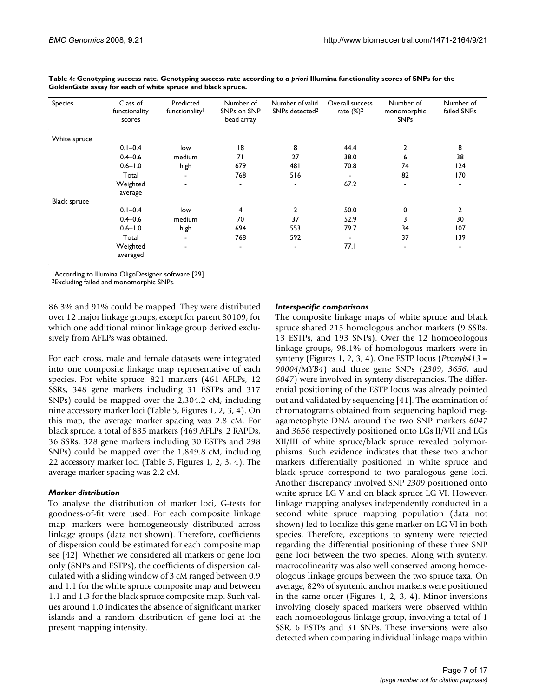| Species             | Class of<br>functionality<br>scores | Predicted<br>functionality <sup>1</sup> | Number of<br>SNPs on SNP<br>bead array | Number of valid<br>SNPs detected <sup>2</sup> | Overall success<br>rate $(\%)^2$ | Number of<br>monomorphic<br><b>SNPs</b> | Number of<br>failed SNPs     |
|---------------------|-------------------------------------|-----------------------------------------|----------------------------------------|-----------------------------------------------|----------------------------------|-----------------------------------------|------------------------------|
| White spruce        |                                     |                                         |                                        |                                               |                                  |                                         |                              |
|                     | $0.1 - 0.4$                         | low                                     | 18                                     | 8                                             | 44.4                             | $\overline{2}$                          | 8                            |
|                     | $0.4 - 0.6$                         | medium                                  | 71                                     | 27                                            | 38.0                             | 6                                       | 38                           |
|                     | $0.6 - 1.0$                         | high                                    | 679                                    | 481                                           | 70.8                             | 74                                      | 124                          |
|                     | Total                               | $\overline{\phantom{a}}$                | 768                                    | 516                                           | ٠                                | 82                                      | 170                          |
|                     | Weighted<br>average                 | $\blacksquare$                          | $\blacksquare$                         | $\qquad \qquad \blacksquare$                  | 67.2                             |                                         | $\qquad \qquad \blacksquare$ |
| <b>Black spruce</b> |                                     |                                         |                                        |                                               |                                  |                                         |                              |
|                     | $0.1 - 0.4$                         | low                                     | $\overline{4}$                         | 2                                             | 50.0                             | 0                                       | 2                            |
|                     | $0.4 - 0.6$                         | medium                                  | 70                                     | 37                                            | 52.9                             | 3                                       | 30                           |
|                     | $0.6 - 1.0$                         | high                                    | 694                                    | 553                                           | 79.7                             | 34                                      | 107                          |
|                     | Total                               | $\blacksquare$                          | 768                                    | 592                                           | $\blacksquare$                   | 37                                      | 139                          |
|                     | Weighted<br>averaged                | $\qquad \qquad \blacksquare$            | $\blacksquare$                         | ٠                                             | 77.I                             |                                         | ٠                            |

Table 4: Genotyping success rate. Genotyping success rate according to *a priori* Illumina functionality scores of SNPs for the **GoldenGate assay for each of white spruce and black spruce.**

1According to Illumina OligoDesigner software [29]

2Excluding failed and monomorphic SNPs.

86.3% and 91% could be mapped. They were distributed over 12 major linkage groups, except for parent 80109, for which one additional minor linkage group derived exclusively from AFLPs was obtained.

For each cross, male and female datasets were integrated into one composite linkage map representative of each species. For white spruce, 821 markers (461 AFLPs, 12 SSRs, 348 gene markers including 31 ESTPs and 317 SNPs) could be mapped over the 2,304.2 cM, including nine accessory marker loci (Table 5, Figures 1, 2, 3, 4). On this map, the average marker spacing was 2.8 cM. For black spruce, a total of 835 markers (469 AFLPs, 2 RAPDs, 36 SSRs, 328 gene markers including 30 ESTPs and 298 SNPs) could be mapped over the 1,849.8 cM, including 22 accessory marker loci (Table 5, Figures 1, 2, 3, 4). The average marker spacing was 2.2 cM.

### *Marker distribution*

To analyse the distribution of marker loci, G-tests for goodness-of-fit were used. For each composite linkage map, markers were homogeneously distributed across linkage groups (data not shown). Therefore, coefficients of dispersion could be estimated for each composite map see [42]. Whether we considered all markers or gene loci only (SNPs and ESTPs), the coefficients of dispersion calculated with a sliding window of 3 cM ranged between 0.9 and 1.1 for the white spruce composite map and between 1.1 and 1.3 for the black spruce composite map. Such values around 1.0 indicates the absence of significant marker islands and a random distribution of gene loci at the present mapping intensity.

#### *Interspecific comparisons*

The composite linkage maps of white spruce and black spruce shared 215 homologous anchor markers (9 SSRs, 13 ESTPs, and 193 SNPs). Over the 12 homoeologous linkage groups, 98.1% of homologous markers were in synteny (Figures 1, 2, 3, 4). One ESTP locus (*Ptxmyb413* = *90004/MYB4*) and three gene SNPs (*2309*, *3656*, and *6047*) were involved in synteny discrepancies. The differential positioning of the ESTP locus was already pointed out and validated by sequencing [41]. The examination of chromatograms obtained from sequencing haploid megagametophyte DNA around the two SNP markers *6047* and *3656* respectively positioned onto LGs II/VII and LGs XII/III of white spruce/black spruce revealed polymorphisms. Such evidence indicates that these two anchor markers differentially positioned in white spruce and black spruce correspond to two paralogous gene loci. Another discrepancy involved SNP *2309* positioned onto white spruce LG V and on black spruce LG VI. However, linkage mapping analyses independently conducted in a second white spruce mapping population (data not shown) led to localize this gene marker on LG VI in both species. Therefore, exceptions to synteny were rejected regarding the differential positioning of these three SNP gene loci between the two species. Along with synteny, macrocolinearity was also well conserved among homoeologous linkage groups between the two spruce taxa. On average, 82% of syntenic anchor markers were positioned in the same order (Figures 1, 2, 3, 4). Minor inversions involving closely spaced markers were observed within each homoeologous linkage group, involving a total of 1 SSR, 6 ESTPs and 31 SNPs. These inversions were also detected when comparing individual linkage maps within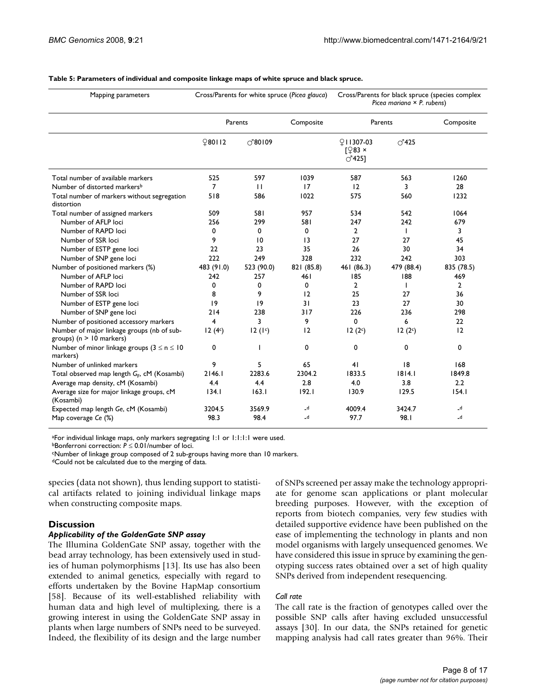| Mapping parameters                                                        | Cross/Parents for white spruce (Picea glauca) |                  |                 | Cross/Parents for black spruce (species complex<br>Picea mariana $\times$ P. rubens) |                |              |
|---------------------------------------------------------------------------|-----------------------------------------------|------------------|-----------------|--------------------------------------------------------------------------------------|----------------|--------------|
|                                                                           | Parents                                       |                  | Composite       | Parents                                                                              |                | Composite    |
|                                                                           | 980112                                        | $\bigcirc$ 80109 |                 | 91307-03<br>$\sqrt{283}$ ×<br>$\bigcirc$ <sup>425]</sup>                             | $\bigcirc$ 425 |              |
| Total number of available markers                                         | 525                                           | 597              | 1039            | 587                                                                                  | 563            | 1260         |
| Number of distorted markers <sup>b</sup>                                  | 7                                             | $\mathbf{H}$     | 17              | 12                                                                                   | 3              | 28           |
| Total number of markers without segregation<br>distortion                 | 518                                           | 586              | 1022            | 575                                                                                  | 560            | 1232         |
| Total number of assigned markers                                          | 509                                           | 581              | 957             | 534                                                                                  | 542            | 1064         |
| Number of AFLP loci                                                       | 256                                           | 299              | 581             | 247                                                                                  | 242            | 679          |
| Number of RAPD loci                                                       | 0                                             | 0                | 0               | $\overline{2}$                                                                       | $\mathbf{I}$   | 3            |
| Number of SSR loci                                                        | 9                                             | 10               | $\overline{13}$ | 27                                                                                   | 27             | 45           |
| Number of ESTP gene loci                                                  | 22                                            | 23               | 35              | 26                                                                                   | 30             | 34           |
| Number of SNP gene loci                                                   | 222                                           | 249              | 328             | 232                                                                                  | 242            | 303          |
| Number of positioned markers (%)                                          | 483 (91.0)                                    | 523 (90.0)       | 821 (85.8)      | 461 (86.3)                                                                           | 479 (88.4)     | 835 (78.5)   |
| Number of AFLP loci                                                       | 242                                           | 257              | 461             | 185                                                                                  | 188            | 469          |
| Number of RAPD loci                                                       | 0                                             | 0                | 0               | $\mathbf{2}$                                                                         | <b>I</b>       | $\mathbf{2}$ |
| Number of SSR loci                                                        | 8                                             | 9                | 12              | 25                                                                                   | 27             | 36           |
| Number of ESTP gene loci                                                  | 9                                             | 19               | 31              | 23                                                                                   | 27             | 30           |
| Number of SNP gene loci                                                   | 214                                           | 238              | 317             | 226                                                                                  | 236            | 298          |
| Number of positioned accessory markers                                    | 4                                             | 3                | 9               | 0                                                                                    | 6              | 22           |
| Number of major linkage groups (nb of sub-<br>groups) ( $n > 10$ markers) | 12(4c)                                        | 12(1c)           | 12              | 12(2c)                                                                               | 12(2c)         | 12           |
| Number of minor linkage groups $(3 \le n \le 10$<br>markers)              | 0                                             |                  | 0               | 0                                                                                    | 0              | 0            |
| Number of unlinked markers                                                | 9                                             | 5                | 65              | 41                                                                                   | 18             | 168          |
| Total observed map length G <sub>F</sub> , cM (Kosambi)                   | 2146.1                                        | 2283.6           | 2304.2          | 1833.5                                                                               | 1814.1         | 1849.8       |
| Average map density, cM (Kosambi)                                         | 4.4                                           | 4.4              | 2.8             | 4.0                                                                                  | 3.8            | 2.2          |
| Average size for major linkage groups, cM<br>(Kosambi)                    | 134.1                                         | 163.1            | 192.1           | 130.9                                                                                | 129.5          | 154.1        |
| Expected map length Ge, cM (Kosambi)                                      | 3204.5                                        | 3569.9           | $-d$            | 4009.4                                                                               | 3424.7         | $\mathsf{d}$ |
| Map coverage Ce (%)                                                       | 98.3                                          | 98.4             | $-d$            | 97.7                                                                                 | 98.I           | $\mathsf{d}$ |

#### **Table 5: Parameters of individual and composite linkage maps of white spruce and black spruce.**

aFor individual linkage maps, only markers segregating 1:1 or 1:1:1:1 were used.

bBonferroni correction: *P* ≤ 0.01/number of loci.

cNumber of linkage group composed of 2 sub-groups having more than 10 markers.

dCould not be calculated due to the merging of data.

species (data not shown), thus lending support to statistical artifacts related to joining individual linkage maps when constructing composite maps.

### **Discussion**

#### *Applicability of the GoldenGate SNP assay*

The Illumina GoldenGate SNP assay, together with the bead array technology, has been extensively used in studies of human polymorphisms [13]. Its use has also been extended to animal genetics, especially with regard to efforts undertaken by the Bovine HapMap consortium [58]. Because of its well-established reliability with human data and high level of multiplexing, there is a growing interest in using the GoldenGate SNP assay in plants when large numbers of SNPs need to be surveyed. Indeed, the flexibility of its design and the large number of SNPs screened per assay make the technology appropriate for genome scan applications or plant molecular breeding purposes. However, with the exception of reports from biotech companies, very few studies with detailed supportive evidence have been published on the ease of implementing the technology in plants and non model organisms with largely unsequenced genomes. We have considered this issue in spruce by examining the genotyping success rates obtained over a set of high quality SNPs derived from independent resequencing.

### *Call rate*

The call rate is the fraction of genotypes called over the possible SNP calls after having excluded unsuccessful assays [30]. In our data, the SNPs retained for genetic mapping analysis had call rates greater than 96%. Their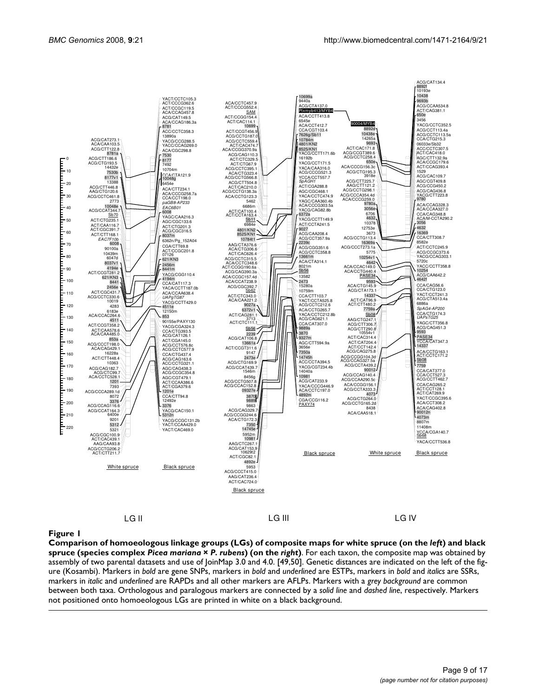

#### Comparison of homoeologous link complex **Figure 1***Picea mariana* × *P. rubens*) (on the age groups (LGs) of composite *right*) maps for white spruce (on the *left*) and black spruce (species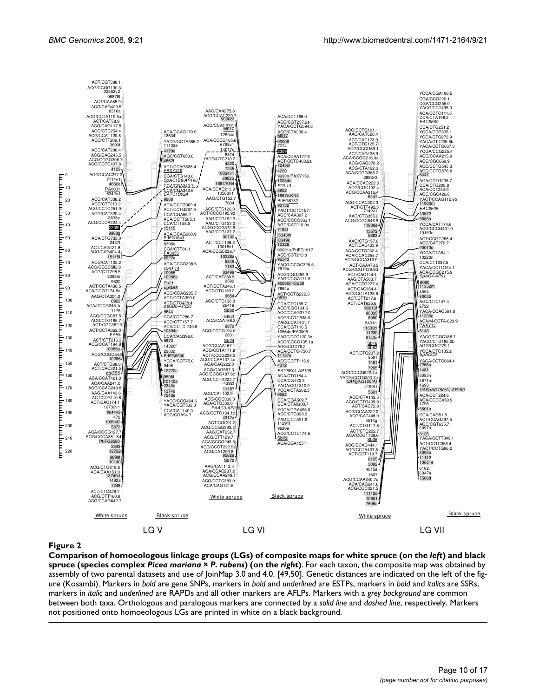

#### Comparison of homoeologous link complex **Figure 2***Picea mariana* × *P. rubens*) (on the age groups (LGs) of composite *right*) maps for white spruce (on the *left*) and black spruce (species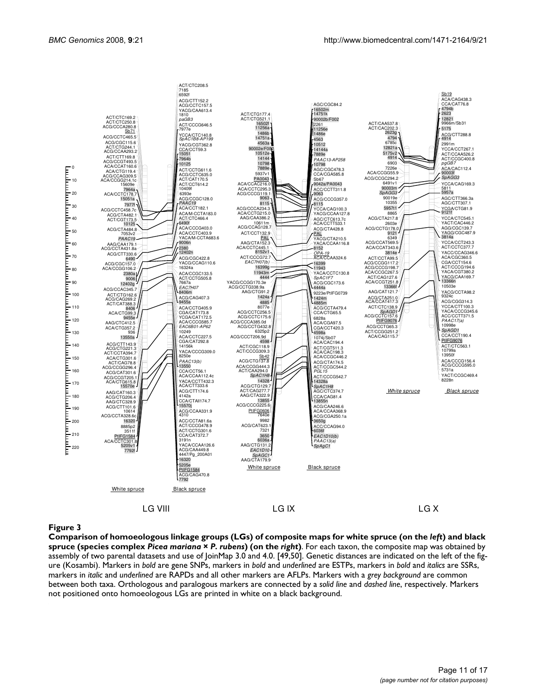

#### Comparison of homoeologous link complex **Figure 3***Picea mariana* × *P. rubens*) (on the age groups (LGs) of composite *right*) maps for white spruce (on the *left*) and black spruce (species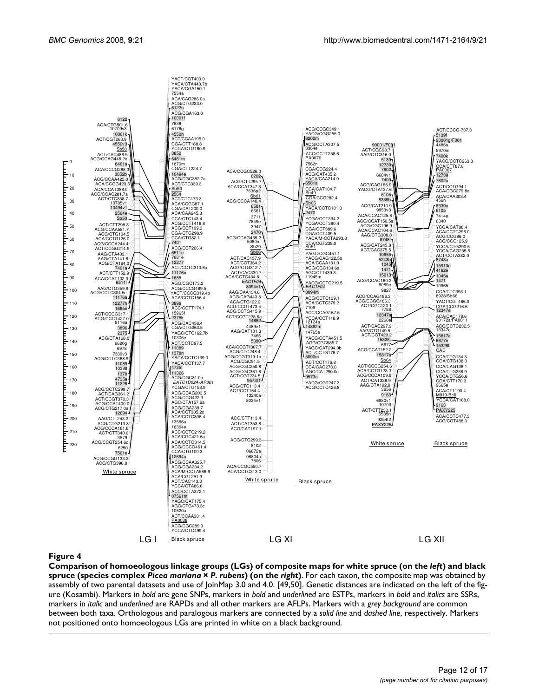

#### Comparison of homoeologous link complex **Figure 4***Picea mariana* × *P. rubens*) (on the age groups (LGs) of composite *right*) maps for white spruce (on the *left*) and black spruce (species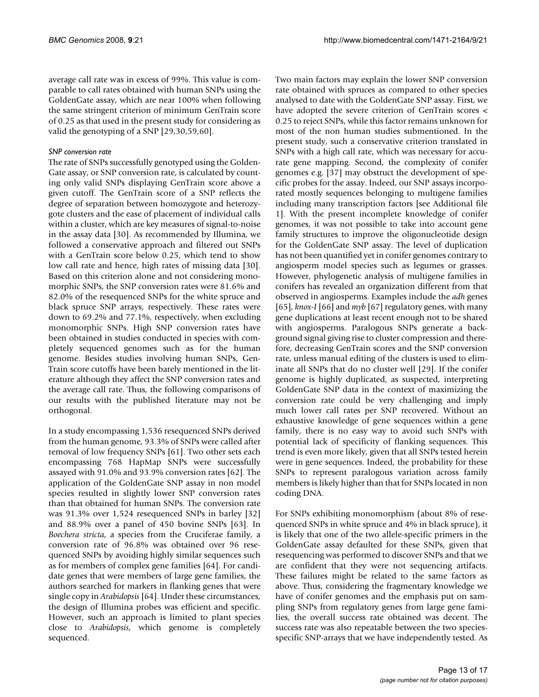average call rate was in excess of 99%. This value is comparable to call rates obtained with human SNPs using the GoldenGate assay, which are near 100% when following the same stringent criterion of minimum GenTrain score of 0.25 as that used in the present study for considering as valid the genotyping of a SNP [29,30,59,60].

#### *SNP conversion rate*

The rate of SNPs successfully genotyped using the Golden-Gate assay, or SNP conversion rate, is calculated by counting only valid SNPs displaying GenTrain score above a given cutoff. The GenTrain score of a SNP reflects the degree of separation between homozygote and heterozygote clusters and the ease of placement of individual calls within a cluster, which are key measures of signal-to-noise in the assay data [30]. As recommended by Illumina, we followed a conservative approach and filtered out SNPs with a GenTrain score below 0.25, which tend to show low call rate and hence, high rates of missing data [30]. Based on this criterion alone and not considering monomorphic SNPs, the SNP conversion rates were 81.6% and 82.0% of the resequenced SNPs for the white spruce and black spruce SNP arrays, respectively. These rates were down to 69.2% and 77.1%, respectively, when excluding monomorphic SNPs. High SNP conversion rates have been obtained in studies conducted in species with completely sequenced genomes such as for the human genome. Besides studies involving human SNPs, Gen-Train score cutoffs have been barely mentioned in the literature although they affect the SNP conversion rates and the average call rate. Thus, the following comparisons of our results with the published literature may not be orthogonal.

In a study encompassing 1,536 resequenced SNPs derived from the human genome, 93.3% of SNPs were called after removal of low frequency SNPs [61]. Two other sets each encompassing 768 HapMap SNPs were successfully assayed with 91.0% and 93.9% conversion rates [62]. The application of the GoldenGate SNP assay in non model species resulted in slightly lower SNP conversion rates than that obtained for human SNPs. The conversion rate was 91.3% over 1,524 resequenced SNPs in barley [32] and 88.9% over a panel of 450 bovine SNPs [63]. In *Boechera stricta*, a species from the Cruciferae family, a conversion rate of 96.8% was obtained over 96 resequenced SNPs by avoiding highly similar sequences such as for members of complex gene families [64]. For candidate genes that were members of large gene families, the authors searched for markers in flanking genes that were single copy in *Arabidopsis* [64]. Under these circumstances, the design of Illumina probes was efficient and specific. However, such an approach is limited to plant species close to *Arabidopsis*, which genome is completely sequenced.

Two main factors may explain the lower SNP conversion rate obtained with spruces as compared to other species analysed to date with the GoldenGate SNP assay. First, we have adopted the severe criterion of GenTrain scores < 0.25 to reject SNPs, while this factor remains unknown for most of the non human studies submentioned. In the present study, such a conservative criterion translated in SNPs with a high call rate, which was necessary for accurate gene mapping. Second, the complexity of conifer genomes e.g. [37] may obstruct the development of specific probes for the assay. Indeed, our SNP assays incorporated mostly sequences belonging to multigene families including many transcription factors [see Additional file 1]. With the present incomplete knowledge of conifer genomes, it was not possible to take into account gene family structures to improve the oligonucleotide design for the GoldenGate SNP assay. The level of duplication has not been quantified yet in conifer genomes contrary to angiosperm model species such as legumes or grasses. However, phylogenetic analysis of multigene families in conifers has revealed an organization different from that observed in angiosperms. Examples include the *adh* genes [65], *knox-I* [66] and *myb* [67] regulatory genes, with many gene duplications at least recent enough not to be shared with angiosperms. Paralogous SNPs generate a background signal giving rise to cluster compression and therefore, decreasing GenTrain scores and the SNP conversion rate, unless manual editing of the clusters is used to eliminate all SNPs that do no cluster well [29]. If the conifer genome is highly duplicated, as suspected, interpreting GoldenGate SNP data in the context of maximizing the conversion rate could be very challenging and imply much lower call rates per SNP recovered. Without an exhaustive knowledge of gene sequences within a gene family, there is no easy way to avoid such SNPs with potential lack of specificity of flanking sequences. This trend is even more likely, given that all SNPs tested herein were in gene sequences. Indeed, the probability for these SNPs to represent paralogous variation across family members is likely higher than that for SNPs located in non coding DNA.

For SNPs exhibiting monomorphism (about 8% of resequenced SNPs in white spruce and 4% in black spruce), it is likely that one of the two allele-specific primers in the GoldenGate assay defaulted for these SNPs, given that resequencing was performed to discover SNPs and that we are confident that they were not sequencing artifacts. These failures might be related to the same factors as above. Thus, considering the fragmentary knowledge we have of conifer genomes and the emphasis put on sampling SNPs from regulatory genes from large gene families, the overall success rate obtained was decent. The success rate was also repeatable between the two speciesspecific SNP-arrays that we have independently tested. As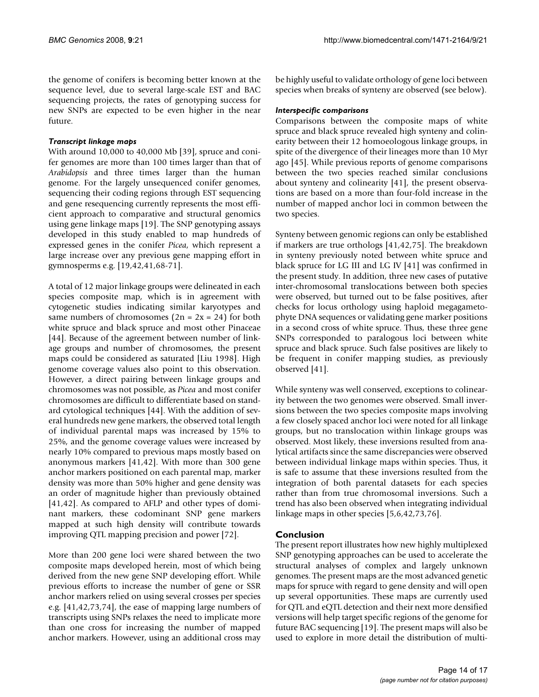the genome of conifers is becoming better known at the sequence level, due to several large-scale EST and BAC sequencing projects, the rates of genotyping success for new SNPs are expected to be even higher in the near future.

#### *Transcript linkage maps*

With around 10,000 to 40,000 Mb [39], spruce and conifer genomes are more than 100 times larger than that of *Arabidopsis* and three times larger than the human genome. For the largely unsequenced conifer genomes, sequencing their coding regions through EST sequencing and gene resequencing currently represents the most efficient approach to comparative and structural genomics using gene linkage maps [19]. The SNP genotyping assays developed in this study enabled to map hundreds of expressed genes in the conifer *Picea*, which represent a large increase over any previous gene mapping effort in gymnosperms e.g. [19,42,41,68-71].

A total of 12 major linkage groups were delineated in each species composite map, which is in agreement with cytogenetic studies indicating similar karyotypes and same numbers of chromosomes  $(2n = 2x = 24)$  for both white spruce and black spruce and most other Pinaceae [44]. Because of the agreement between number of linkage groups and number of chromosomes, the present maps could be considered as saturated [Liu 1998]. High genome coverage values also point to this observation. However, a direct pairing between linkage groups and chromosomes was not possible, as *Picea* and most conifer chromosomes are difficult to differentiate based on standard cytological techniques [44]. With the addition of several hundreds new gene markers, the observed total length of individual parental maps was increased by 15% to 25%, and the genome coverage values were increased by nearly 10% compared to previous maps mostly based on anonymous markers [41,42]. With more than 300 gene anchor markers positioned on each parental map, marker density was more than 50% higher and gene density was an order of magnitude higher than previously obtained [41,42]. As compared to AFLP and other types of dominant markers, these codominant SNP gene markers mapped at such high density will contribute towards improving QTL mapping precision and power [72].

More than 200 gene loci were shared between the two composite maps developed herein, most of which being derived from the new gene SNP developing effort. While previous efforts to increase the number of gene or SSR anchor markers relied on using several crosses per species e.g. [41,42,73,74], the ease of mapping large numbers of transcripts using SNPs relaxes the need to implicate more than one cross for increasing the number of mapped anchor markers. However, using an additional cross may be highly useful to validate orthology of gene loci between species when breaks of synteny are observed (see below).

#### *Interspecific comparisons*

Comparisons between the composite maps of white spruce and black spruce revealed high synteny and colinearity between their 12 homoeologous linkage groups, in spite of the divergence of their lineages more than 10 Myr ago [45]. While previous reports of genome comparisons between the two species reached similar conclusions about synteny and colinearity [41], the present observations are based on a more than four-fold increase in the number of mapped anchor loci in common between the two species.

Synteny between genomic regions can only be established if markers are true orthologs [41,42,75]. The breakdown in synteny previously noted between white spruce and black spruce for LG III and LG IV [41] was confirmed in the present study. In addition, three new cases of putative inter-chromosomal translocations between both species were observed, but turned out to be false positives, after checks for locus orthology using haploid megagametophyte DNA sequences or validating gene marker positions in a second cross of white spruce. Thus, these three gene SNPs corresponded to paralogous loci between white spruce and black spruce. Such false positives are likely to be frequent in conifer mapping studies, as previously observed [41].

While synteny was well conserved, exceptions to colinearity between the two genomes were observed. Small inversions between the two species composite maps involving a few closely spaced anchor loci were noted for all linkage groups, but no translocation within linkage groups was observed. Most likely, these inversions resulted from analytical artifacts since the same discrepancies were observed between individual linkage maps within species. Thus, it is safe to assume that these inversions resulted from the integration of both parental datasets for each species rather than from true chromosomal inversions. Such a trend has also been observed when integrating individual linkage maps in other species [5,6,42,73,76].

# **Conclusion**

The present report illustrates how new highly multiplexed SNP genotyping approaches can be used to accelerate the structural analyses of complex and largely unknown genomes. The present maps are the most advanced genetic maps for spruce with regard to gene density and will open up several opportunities. These maps are currently used for QTL and eQTL detection and their next more densified versions will help target specific regions of the genome for future BAC sequencing [19]. The present maps will also be used to explore in more detail the distribution of multi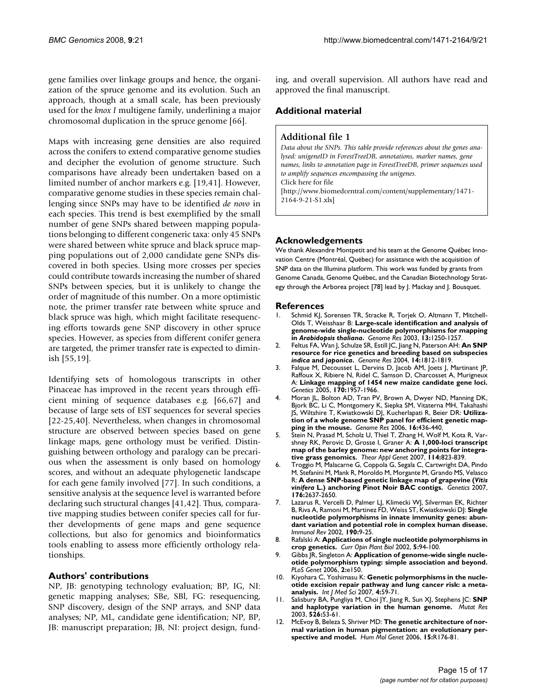gene families over linkage groups and hence, the organization of the spruce genome and its evolution. Such an approach, though at a small scale, has been previously used for the *knox I* multigene family, underlining a major chromosomal duplication in the spruce genome [66].

Maps with increasing gene densities are also required across the conifers to extend comparative genome studies and decipher the evolution of genome structure. Such comparisons have already been undertaken based on a limited number of anchor markers e.g. [19,41]. However, comparative genome studies in these species remain challenging since SNPs may have to be identified *de novo* in each species. This trend is best exemplified by the small number of gene SNPs shared between mapping populations belonging to different congeneric taxa: only 45 SNPs were shared between white spruce and black spruce mapping populations out of 2,000 candidate gene SNPs discovered in both species. Using more crosses per species could contribute towards increasing the number of shared SNPs between species, but it is unlikely to change the order of magnitude of this number. On a more optimistic note, the primer transfer rate between white spruce and black spruce was high, which might facilitate resequencing efforts towards gene SNP discovery in other spruce species. However, as species from different conifer genera are targeted, the primer transfer rate is expected to diminish [55,19].

Identifying sets of homologous transcripts in other Pinaceae has improved in the recent years through efficient mining of sequence databases e.g. [66,67] and because of large sets of EST sequences for several species [22-25,40]. Nevertheless, when changes in chromosomal structure are observed between species based on gene linkage maps, gene orthology must be verified. Distinguishing between orthology and paralogy can be precarious when the assessment is only based on homology scores, and without an adequate phylogenetic landscape for each gene family involved [77]. In such conditions, a sensitive analysis at the sequence level is warranted before declaring such structural changes [41,42]. Thus, comparative mapping studies between conifer species call for further developments of gene maps and gene sequence collections, but also for genomics and bioinformatics tools enabling to assess more efficiently orthology relationships.

### **Authors' contributions**

NP, JB: genotyping technology evaluation; BP, IG, NI: genetic mapping analyses; SBe, SBl, FG: resequencing, SNP discovery, design of the SNP arrays, and SNP data analyses; NP, ML, candidate gene identification; NP, BP, JB: manuscript preparation; JB, NI: project design, funding, and overall supervision. All authors have read and approved the final manuscript.

# **Additional material**

#### **Additional file 1**

*Data about the SNPs. This table provide references about the genes analysed: unigeneID in ForestTreeDB, annotations, marker names, gene names, links to annotation page in ForestTreeDB, primer sequences used to amplify sequences encompassing the unigenes.* Click here for file [\[http://www.biomedcentral.com/content/supplementary/1471-](http://www.biomedcentral.com/content/supplementary/1471-2164-9-21-S1.xls) 2164-9-21-S1.xls]

# **Acknowledgements**

We thank Alexandre Montpetit and his team at the Genome Québec Innovation Centre (Montréal, Québec) for assistance with the acquisition of SNP data on the Illumina platform. This work was funded by grants from Genome Canada, Genome Québec, and the Canadian Biotechnology Strategy through the Arborea project [78] lead by J. Mackay and J. Bousquet.

#### **References**

- Schmid KJ, Sorensen TR, Stracke R, Torjek O, Altmann T, Mitchell-Olds T, Weisshaar B: **Large-scale identification and analysis of genome-wide single-nucleotide polymorphisms for mapping in** *Arabidopsis thaliana***[.](http://www.ncbi.nlm.nih.gov/entrez/query.fcgi?cmd=Retrieve&db=PubMed&dopt=Abstract&list_uids=12799357)** *Genome Res* 2003, **13:**1250-1257.
- 2. Feltus FA, Wan J, Schulze SR, Estill JC, Jiang N, Paterson AH: **An SNP resource for rice genetics and breeding based on subspecies** *indica* **and** *japonica***[.](http://www.ncbi.nlm.nih.gov/entrez/query.fcgi?cmd=Retrieve&db=PubMed&dopt=Abstract&list_uids=15342564)** *Genome Res* 2004, **14:**1812-1819.
- 3. Falque M, Decousset L, Dervins D, Jacob AM, Joets J, Martinant JP, Raffoux X, Ribiere N, Ridel C, Samson D, Charcosset A, Murigneux A: **[Linkage mapping of 1454 new maize candidate gene loci.](http://www.ncbi.nlm.nih.gov/entrez/query.fcgi?cmd=Retrieve&db=PubMed&dopt=Abstract&list_uids=15937132)** *Genetics* 2005, **170:**1957-1966.
- 4. Moran JL, Bolton AD, Tran PV, Brown A, Dwyer ND, Manning DK, Bjork BC, Li C, Montgomery K, Siepka SM, Vitaterna MH, Takahashi JS, Wiltshire T, Kwiatkowski DJ, Kucherlapati R, Beier DR: **[Utiliza](http://www.ncbi.nlm.nih.gov/entrez/query.fcgi?cmd=Retrieve&db=PubMed&dopt=Abstract&list_uids=16461637)[tion of a whole genome SNP panel for efficient genetic map](http://www.ncbi.nlm.nih.gov/entrez/query.fcgi?cmd=Retrieve&db=PubMed&dopt=Abstract&list_uids=16461637)[ping in the mouse.](http://www.ncbi.nlm.nih.gov/entrez/query.fcgi?cmd=Retrieve&db=PubMed&dopt=Abstract&list_uids=16461637)** *Genome Res* 2006, **16:**436-440.
- 5. Stein N, Prasad M, Scholz U, Thiel T, Zhang H, Wolf M, Kota R, Varshney RK, Perovic D, Grosse I, Graner A: **[A 1,000-loci transcript](http://www.ncbi.nlm.nih.gov/entrez/query.fcgi?cmd=Retrieve&db=PubMed&dopt=Abstract&list_uids=17219208) [map of the barley genome: new anchoring points for integra](http://www.ncbi.nlm.nih.gov/entrez/query.fcgi?cmd=Retrieve&db=PubMed&dopt=Abstract&list_uids=17219208)[tive grass genomics.](http://www.ncbi.nlm.nih.gov/entrez/query.fcgi?cmd=Retrieve&db=PubMed&dopt=Abstract&list_uids=17219208)** *Theor Appl Genet* 2007, **114:**823-839.
- 6. Troggio M, Malacarne G, Coppola G, Segala C, Cartwright DA, Pindo M, Stefanini M, Mank R, Moroldo M, Morgante M, Grando MS, Velasco R: **A dense SNP-based genetic linkage map of grapevine (***Vitis vinifera* **[L.\) anchoring Pinot Noir BAC contigs.](http://www.ncbi.nlm.nih.gov/entrez/query.fcgi?cmd=Retrieve&db=PubMed&dopt=Abstract&list_uids=17603124)** *Genetics* 2007, **176:**2637-2650.
- 7. Lazarus R, Vercelli D, Palmer LJ, Klimecki WJ, Silverman EK, Richter B, Riva A, Ramoni M, Martinez FD, Weiss ST, Kwiatkowski DJ: **[Single](http://www.ncbi.nlm.nih.gov/entrez/query.fcgi?cmd=Retrieve&db=PubMed&dopt=Abstract&list_uids=12493003) nucleotide polymorphisms in innate immunity genes: abun[dant variation and potential role in complex human disease.](http://www.ncbi.nlm.nih.gov/entrez/query.fcgi?cmd=Retrieve&db=PubMed&dopt=Abstract&list_uids=12493003)** *Immunol Rev* 2002, **190:**9-25.
- 8. Rafalski A: **[Applications of single nucleotide polymorphisms in](http://www.ncbi.nlm.nih.gov/entrez/query.fcgi?cmd=Retrieve&db=PubMed&dopt=Abstract&list_uids=11856602) [crop genetics.](http://www.ncbi.nlm.nih.gov/entrez/query.fcgi?cmd=Retrieve&db=PubMed&dopt=Abstract&list_uids=11856602)** *Curr Opin Plant Biol* 2002, **5:**94-100.
- 9. Gibbs JR, Singleton A: **[Application of genome-wide single nucle](http://www.ncbi.nlm.nih.gov/entrez/query.fcgi?cmd=Retrieve&db=PubMed&dopt=Abstract&list_uids=17029559)[otide polymorphism typing: simple association and beyond.](http://www.ncbi.nlm.nih.gov/entrez/query.fcgi?cmd=Retrieve&db=PubMed&dopt=Abstract&list_uids=17029559)** *PLoS Genet* 2006, **2:**e150.
- 10. Kiyohara C, Yoshimasu K: **[Genetic polymorphisms in the nucle](http://www.ncbi.nlm.nih.gov/entrez/query.fcgi?cmd=Retrieve&db=PubMed&dopt=Abstract&list_uids=17299578)[otide excision repair pathway and lung cancer risk: a meta](http://www.ncbi.nlm.nih.gov/entrez/query.fcgi?cmd=Retrieve&db=PubMed&dopt=Abstract&list_uids=17299578)[analysis.](http://www.ncbi.nlm.nih.gov/entrez/query.fcgi?cmd=Retrieve&db=PubMed&dopt=Abstract&list_uids=17299578)** *Int J Med Sci* 2007, **4:**59-71.
- 11. Salisbury BA, Pungliya M, Choi JY, Jiang R, Sun XJ, Stephens JC: **[SNP](http://www.ncbi.nlm.nih.gov/entrez/query.fcgi?cmd=Retrieve&db=PubMed&dopt=Abstract&list_uids=12714183) [and haplotype variation in the human genome.](http://www.ncbi.nlm.nih.gov/entrez/query.fcgi?cmd=Retrieve&db=PubMed&dopt=Abstract&list_uids=12714183)** *Mutat Res* 2003, **526:**53-61.
- 12. McEvoy B, Beleza S, Shriver MD: **[The genetic architecture of nor](http://www.ncbi.nlm.nih.gov/entrez/query.fcgi?cmd=Retrieve&db=PubMed&dopt=Abstract&list_uids=16987881)[mal variation in human pigmentation: an evolutionary per](http://www.ncbi.nlm.nih.gov/entrez/query.fcgi?cmd=Retrieve&db=PubMed&dopt=Abstract&list_uids=16987881)[spective and model.](http://www.ncbi.nlm.nih.gov/entrez/query.fcgi?cmd=Retrieve&db=PubMed&dopt=Abstract&list_uids=16987881)** *Hum Mol Genet* 2006, **15:**R176-81.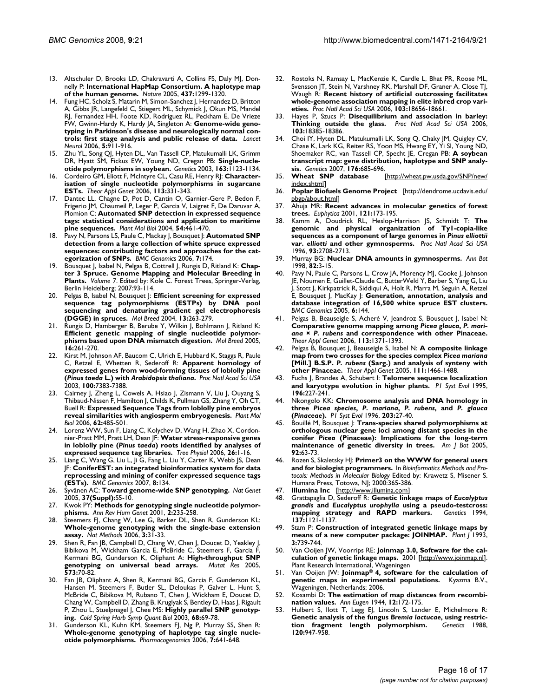- 13. Altschuler D, Brooks LD, Chakravarti A, Collins FS, Daly MJ, Donnelly P: **[International HapMap Consortium. A haplotype map](http://www.ncbi.nlm.nih.gov/entrez/query.fcgi?cmd=Retrieve&db=PubMed&dopt=Abstract&list_uids=16255080) [of the human genome.](http://www.ncbi.nlm.nih.gov/entrez/query.fcgi?cmd=Retrieve&db=PubMed&dopt=Abstract&list_uids=16255080)** *Nature* 2005, **437:**1299-1320.
- 14. Fung HC, Scholz S, Matarin M, Simon-Sanchez J, Hernandez D, Britton A, Gibbs JR, Langefeld C, Stiegert ML, Schymick J, Okun MS, Mandel RJ, Fernandez HH, Foote KD, Rodriguez RL, Peckham E, De Vrieze FW, Gwinn-Hardy K, Hardy JA, Singleton A: **[Genome-wide geno](http://www.ncbi.nlm.nih.gov/entrez/query.fcgi?cmd=Retrieve&db=PubMed&dopt=Abstract&list_uids=17052657)[typing in Parkinson's disease and neurologically normal con](http://www.ncbi.nlm.nih.gov/entrez/query.fcgi?cmd=Retrieve&db=PubMed&dopt=Abstract&list_uids=17052657)[trols: first stage analysis and public release of data.](http://www.ncbi.nlm.nih.gov/entrez/query.fcgi?cmd=Retrieve&db=PubMed&dopt=Abstract&list_uids=17052657)** *Lancet Neurol* 2006, **5:**911-916.
- 15. Zhu YL, Song QJ, Hyten DL, Van Tassell CP, Matukumalli LK, Grimm DR, Hyatt SM, Fickus EW, Young ND, Cregan PB: **[Single-nucle](http://www.ncbi.nlm.nih.gov/entrez/query.fcgi?cmd=Retrieve&db=PubMed&dopt=Abstract&list_uids=12663549)[otide polymorphisms in soybean.](http://www.ncbi.nlm.nih.gov/entrez/query.fcgi?cmd=Retrieve&db=PubMed&dopt=Abstract&list_uids=12663549)** *Genetics* 2003, **163:**1123-1134.
- 16. Cordeiro GM, Eliott F, McIntyre CL, Casu RE, Henry RJ: **[Character](http://www.ncbi.nlm.nih.gov/entrez/query.fcgi?cmd=Retrieve&db=PubMed&dopt=Abstract&list_uids=16791699)[isation of single nucleotide polymorphisms in sugarcane](http://www.ncbi.nlm.nih.gov/entrez/query.fcgi?cmd=Retrieve&db=PubMed&dopt=Abstract&list_uids=16791699) [ESTs.](http://www.ncbi.nlm.nih.gov/entrez/query.fcgi?cmd=Retrieve&db=PubMed&dopt=Abstract&list_uids=16791699)** *Theor Appl Genet* 2006, **113:**331-343.
- 17. Dantec LL, Chagne D, Pot D, Cantin O, Garnier-Gere P, Bedon F, Frigerio JM, Chaumeil P, Leger P, Garcia V, Laigret F, De Daruvar A, Plomion C: **[Automated SNP detection in expressed sequence](http://www.ncbi.nlm.nih.gov/entrez/query.fcgi?cmd=Retrieve&db=PubMed&dopt=Abstract&list_uids=15284499) [tags: statistical considerations and application to maritime](http://www.ncbi.nlm.nih.gov/entrez/query.fcgi?cmd=Retrieve&db=PubMed&dopt=Abstract&list_uids=15284499) [pine sequences.](http://www.ncbi.nlm.nih.gov/entrez/query.fcgi?cmd=Retrieve&db=PubMed&dopt=Abstract&list_uids=15284499)** *Plant Mol Biol* 2004, **54:**461-470.
- 18. Pavy N, Parsons LS, Paule C, Mackay J, Bousquet J: **[Automated SNP](http://www.ncbi.nlm.nih.gov/entrez/query.fcgi?cmd=Retrieve&db=PubMed&dopt=Abstract&list_uids=16824208) detection from a large collection of white spruce expressed [sequences: contributing factors and approaches for the cat](http://www.ncbi.nlm.nih.gov/entrez/query.fcgi?cmd=Retrieve&db=PubMed&dopt=Abstract&list_uids=16824208)[egorization of SNPs.](http://www.ncbi.nlm.nih.gov/entrez/query.fcgi?cmd=Retrieve&db=PubMed&dopt=Abstract&list_uids=16824208)** *BMC Genomics* 2006, **7:**174.
- 19. Bousquet J, Isabel N, Pelgas B, Cottrell J, Rungis D, Ritland K: **Chapter 3 Spruce. Genome Mapping and Molecular Breeding in Plants.** *Volume 7*. Edited by: Kole C. Forest Trees, Springer-Verlag, Berlin Heidelberg; 2007:93-114.
- 20. Pelgas B, Isabel N, Bousquet J: **Efficient screening for expressed sequence tag polymorphisms (ESTPs) by DNA pool sequencing and denaturing gradient gel electrophoresis (DGGE) in spruces.** *Mol Breed* 2004, **13:**263-279.
- 21. Rungis D, Hamberger B, Berube Y, Wilkin J, Bohlmann J, Ritland K: **Efficient genetic mapping of single nucleotide polymorphisms based upon DNA mismatch digestion.** *Mol Breed* 2005, **16:**261-270.
- 22. Kirst M, Johnson AF, Baucom C, Ulrich E, Hubbard K, Staggs R, Paule C, Retzel E, Whetten R, Sederoff R: **Apparent homology of expressed genes from wood-forming tissues of loblolly pine (***Pinus taeda* **L.) with** *Arabidopsis thaliana***[.](http://www.ncbi.nlm.nih.gov/entrez/query.fcgi?cmd=Retrieve&db=PubMed&dopt=Abstract&list_uids=12771380)** *Proc Natl Acad Sci USA* 2003, **100:**7383-7388.
- 23. Cairney J, Zheng L, Cowels A, Hsiao J, Zismann V, Liu J, Ouyang S, Thibaud-Nissen F, Hamilton J, Childs K, Pullman GS, Zhang Y, Oh CT, Buell R: **[Expressed Sequence Tags from loblolly pine embryos](http://www.ncbi.nlm.nih.gov/entrez/query.fcgi?cmd=Retrieve&db=PubMed&dopt=Abstract&list_uids=17001497) [reveal similarities with angiosperm embryogenesis.](http://www.ncbi.nlm.nih.gov/entrez/query.fcgi?cmd=Retrieve&db=PubMed&dopt=Abstract&list_uids=17001497)** *Plant Mol Biol* 2006, **62:**485-501.
- 24. Lorenz WW, Sun F, Liang C, Kolychev D, Wang H, Zhao X, Cordonnier-Pratt MM, Pratt LH, Dean JF: **Water stress-responsive genes in loblolly pine (***Pinus taeda***[\) roots identified by analyses of](http://www.ncbi.nlm.nih.gov/entrez/query.fcgi?cmd=Retrieve&db=PubMed&dopt=Abstract&list_uids=16203709) [expressed sequence tag libraries.](http://www.ncbi.nlm.nih.gov/entrez/query.fcgi?cmd=Retrieve&db=PubMed&dopt=Abstract&list_uids=16203709)** *Tree Physiol* 2006, **26:**1-16.
- 25. Liang C, Wang G, Liu L, Ji G, Fang L, Liu Y, Carter K, Webb JS, Dean JF: **[ConiferEST: an integrated bioinformatics system for data](http://www.ncbi.nlm.nih.gov/entrez/query.fcgi?cmd=Retrieve&db=PubMed&dopt=Abstract&list_uids=17535431) [reprocessing and mining of conifer expressed sequence tags](http://www.ncbi.nlm.nih.gov/entrez/query.fcgi?cmd=Retrieve&db=PubMed&dopt=Abstract&list_uids=17535431) [\(ESTs\).](http://www.ncbi.nlm.nih.gov/entrez/query.fcgi?cmd=Retrieve&db=PubMed&dopt=Abstract&list_uids=17535431)** *BMC Genomics* 2007, **8:**134.
- 26. Syvänen AC: **[Toward genome-wide SNP genotyping.](http://www.ncbi.nlm.nih.gov/entrez/query.fcgi?cmd=Retrieve&db=PubMed&dopt=Abstract&list_uids=15920530)** *Nat Genet* 2005, **37(Suppl):**S5-10.
- 27. Kwok PY: **Methods for genotyping single nucleotide polymorphisms.** *Ann Rev Hum Genet* 2001, **2:**235-258.
- 28. Steemers FJ, Chang W, Lee G, Barker DL, Shen R, Gunderson KL: **[Whole-genome genotyping with the single-base extension](http://www.ncbi.nlm.nih.gov/entrez/query.fcgi?cmd=Retrieve&db=PubMed&dopt=Abstract&list_uids=16369550) [assay.](http://www.ncbi.nlm.nih.gov/entrez/query.fcgi?cmd=Retrieve&db=PubMed&dopt=Abstract&list_uids=16369550)** *Nat Methods* 2006, **3:**31-33.
- 29. Shen R, Fan JB, Campbell D, Chang W, Chen J, Doucet D, Yeakley J, Bibikova M, Wickham Garcia E, McBride C, Steemers F, Garcia F, Kermani BG, Gunderson K, Oliphant A: **[High-throughput SNP](http://www.ncbi.nlm.nih.gov/entrez/query.fcgi?cmd=Retrieve&db=PubMed&dopt=Abstract&list_uids=15829238) [genotyping on universal bead arrays.](http://www.ncbi.nlm.nih.gov/entrez/query.fcgi?cmd=Retrieve&db=PubMed&dopt=Abstract&list_uids=15829238)** *Mutat Res* 2005, **573:**70-82.
- 30. Fan JB, Oliphant A, Shen R, Kermani BG, Garcia F, Gunderson KL, Hansen M, Steemers F, Butler SL, Deloukas P, Galver L, Hunt S, McBride C, Bibikova M, Rubano T, Chen J, Wickham E, Doucet D, Chang W, Campbell D, Zhang B, Kruglyak S, Bentley D, Haas J, Rigault P, Zhou L, Stuelpnagel J, Chee MS: **[Highly parallel SNP genotyp](http://www.ncbi.nlm.nih.gov/entrez/query.fcgi?cmd=Retrieve&db=PubMed&dopt=Abstract&list_uids=15338605)[ing.](http://www.ncbi.nlm.nih.gov/entrez/query.fcgi?cmd=Retrieve&db=PubMed&dopt=Abstract&list_uids=15338605)** *Cold Spring Harb Symp Quant Biol* 2003, **68:**69-78.
- 31. Gunderson KL, Kuhn KM, Steemers FJ, Ng P, Murray SS, Shen R: **[Whole-genome genotyping of haplotype tag single nucle](http://www.ncbi.nlm.nih.gov/entrez/query.fcgi?cmd=Retrieve&db=PubMed&dopt=Abstract&list_uids=16768648)[otide polymorphisms.](http://www.ncbi.nlm.nih.gov/entrez/query.fcgi?cmd=Retrieve&db=PubMed&dopt=Abstract&list_uids=16768648)** *Pharmacogenomics* 2006, **7:**641-648.
- 32. Rostoks N, Ramsay L, MacKenzie K, Cardle L, Bhat PR, Roose ML, Svensson JT, Stein N, Varshney RK, Marshall DF, Graner A, Close TJ, Waugh R: **[Recent history of artificial outcrossing facilitates](http://www.ncbi.nlm.nih.gov/entrez/query.fcgi?cmd=Retrieve&db=PubMed&dopt=Abstract&list_uids=17085595) [whole-genome association mapping in elite inbred crop vari](http://www.ncbi.nlm.nih.gov/entrez/query.fcgi?cmd=Retrieve&db=PubMed&dopt=Abstract&list_uids=17085595)[eties.](http://www.ncbi.nlm.nih.gov/entrez/query.fcgi?cmd=Retrieve&db=PubMed&dopt=Abstract&list_uids=17085595)** *Proc Natl Acad Sci USA* 2006, **103:**18656-18661.
- 33. Hayes P, Szucs P: **[Disequilibrium and association in barley:](http://www.ncbi.nlm.nih.gov/entrez/query.fcgi?cmd=Retrieve&db=PubMed&dopt=Abstract&list_uids=17130443) [Thinking outside the glass.](http://www.ncbi.nlm.nih.gov/entrez/query.fcgi?cmd=Retrieve&db=PubMed&dopt=Abstract&list_uids=17130443)** *Proc Natl Acad Sci USA* 2006, **103:**18385-18386.
- 34. Choi IY, Hyten DL, Matukumalli LK, Song Q, Chaky JM, Quigley CV, Chase K, Lark KG, Reiter RS, Yoon MS, Hwang EY, Yi SI, Young ND, Shoemaker RC, van Tassell CP, Specht JE, Cregan PB: **[A soybean](http://www.ncbi.nlm.nih.gov/entrez/query.fcgi?cmd=Retrieve&db=PubMed&dopt=Abstract&list_uids=17339218) [transcript map: gene distribution, haplotype and SNP analy](http://www.ncbi.nlm.nih.gov/entrez/query.fcgi?cmd=Retrieve&db=PubMed&dopt=Abstract&list_uids=17339218)[sis.](http://www.ncbi.nlm.nih.gov/entrez/query.fcgi?cmd=Retrieve&db=PubMed&dopt=Abstract&list_uids=17339218)** *Genetics* 2007, **176:**685-696.
- 35. **Wheat SNP database** [[http://wheat.pw.usda.gov/SNP/new/](http://wheat.pw.usda.gov/SNP/new/index.shtml) [index.shtml](http://wheat.pw.usda.gov/SNP/new/index.shtml)]
- 36. **Poplar Biofuels Genome Project** [[http://dendrome.ucdavis.edu/](http://dendrome.ucdavis.edu/pbgp/about.html) [pbgp/about.html\]](http://dendrome.ucdavis.edu/pbgp/about.html)
- 37. Ahuja MR: **Recent advances in molecular genetics of forest trees.** *Euphytica* 2001, **121:**173-195.
- 38. Kamm A, Doudrick RL, Heslop-Harrison JS, Schmidt T: **The genomic and physical organization of Ty1-copia-like sequences as a component of large genomes in** *Pinus elliottii* **var.** *elliotti* **[and other gymnosperms.](http://www.ncbi.nlm.nih.gov/entrez/query.fcgi?cmd=Retrieve&db=PubMed&dopt=Abstract&list_uids=8610105)** *Proc Natl Acad Sci USA* 1996, **93:**2708-2713.
- 39. Murray BG: **Nuclear DNA amounts in gymnosperms.** *Ann Bot* 1998, **82:**3-15.
- 40. Pavy N, Paule C, Parsons L, Crow JA, Morency MJ, Cooke J, Johnson JE, Noumen E, Guillet-Claude C, ButterWeld Y, Barber S, Yang G, Liu J, Stott J, Kirkpatrick R, Siddiqui A, Holt R, Marra M, Seguin A, Retzel E, Bousquet J, MacKay J: **[Generation, annotation, analysis and](http://www.ncbi.nlm.nih.gov/entrez/query.fcgi?cmd=Retrieve&db=PubMed&dopt=Abstract&list_uids=16236172) [database integration of 16,500 white spruce EST clusters.](http://www.ncbi.nlm.nih.gov/entrez/query.fcgi?cmd=Retrieve&db=PubMed&dopt=Abstract&list_uids=16236172)** *BMC Genomics* 2005, **6:**144.
- 41. Pelgas B, Beauseigle S, Acheré V, Jeandroz S, Bousquet J, Isabel N: **Comparative genome mapping among** *Picea glauca***,** *P. mariana* **×** *P. rubens* **[and correspondence with other Pinaceae.](http://www.ncbi.nlm.nih.gov/entrez/query.fcgi?cmd=Retrieve&db=PubMed&dopt=Abstract&list_uids=17061103)** *Theor Appl Genet* 2006, **113:**1371-1393.
- Pelgas B, Bousquet J, Beauseigle S, Isabel N: **A composite linkage map from two crosses for the species complex** *Picea mariana* **[Mill.] B.S.P.** *P. rubens* **[\(Sarg.\) and analysis of synteny with](http://www.ncbi.nlm.nih.gov/entrez/query.fcgi?cmd=Retrieve&db=PubMed&dopt=Abstract&list_uids=16215729) [other Pinaceae.](http://www.ncbi.nlm.nih.gov/entrez/query.fcgi?cmd=Retrieve&db=PubMed&dopt=Abstract&list_uids=16215729)** *Theor Appl Genet* 2005, **111:**1466-1488.
- 43. Fuchs J, Brandes A, Schubert I: **Telomere sequence localization and karyotype evolution in higher plants.** *P1 Syst Evol* 1995, **196:**227-241.
- 44. Nkongolo KK: **Chromosome analysis and DNA homology in three** *Picea species***,** *P. mariana***,** *P. rubens***, and** *P. glauca* **(***Pinaceae***).** *P1 Syst Evol* 1996, **203:**27-40.
- 45. Bouillé M, Bousquet J: **Trans-species shared polymorphisms at orthologous nuclear gene loci among distant species in the conifer** *Picea* **(Pinaceae): Implications for the long-term maintenance of genetic diversity in trees.** *Am J Bot* 2005, **92:**63-73.
- 46. Rozen S, Skaletsky HJ: **Primer3 on the WWW for general users and for biologist programmers.** In *Bioinformatics Methods and Protocols: Methods in Molecular Biology* Edited by: Krawetz S, Misener S. Humana Press, Totowa, NJ; 2000:365-386.
- 47. **Illumina Inc** [\[http://www.illumina.com](http://www.illumina.com)]
- 48. Grattapaglia D, Sederoff R: **Genetic linkage maps of** *Eucalyptus grandis* **and** *Eucalyptus urophylla* **[using a pseudo-testcross:](http://www.ncbi.nlm.nih.gov/entrez/query.fcgi?cmd=Retrieve&db=PubMed&dopt=Abstract&list_uids=7982566)** [mapping strategy and RAPD markers.](http://www.ncbi.nlm.nih.gov/entrez/query.fcgi?cmd=Retrieve&db=PubMed&dopt=Abstract&list_uids=7982566) **137:**1121-1137.
- 49. Stam P: **Construction of integrated genetic linkage maps by means of a new computer package: JOINMAP.** *Plant J* 1993, **3:**739-744.
- Van Ooijen JW, Voorrips RE: Joinmap 3.0, Software for the cal**culation of genetic linkage maps.** 2001 [\[http://www.joinmap.nl\]](http://www.joinmap.nl). Plant Research International, Wageningen
- 51. Van Ooijen JW: **Joinmap® 4, software for the calculation of genetic maps in experimental populations.** Kyazma B.V., Wageningen, Netherlands; 2006.
- 52. Kosambi D: **The estimation of map distances from recombination values.** *Ann Eugen* 1944, **12:**172-175.
- 53. Hulbert S, Ilott T, Legg EJ, Lincoln S, Lander E, Michelmore R: **Genetic analysis of the fungus Bremia lactucae, using restric-<br>
<b>tion** fragment length polymorphism. Genetics 1988. [tion fragment length polymorphism.](http://www.ncbi.nlm.nih.gov/entrez/query.fcgi?cmd=Retrieve&db=PubMed&dopt=Abstract&list_uids=2906309) **120:**947-958.